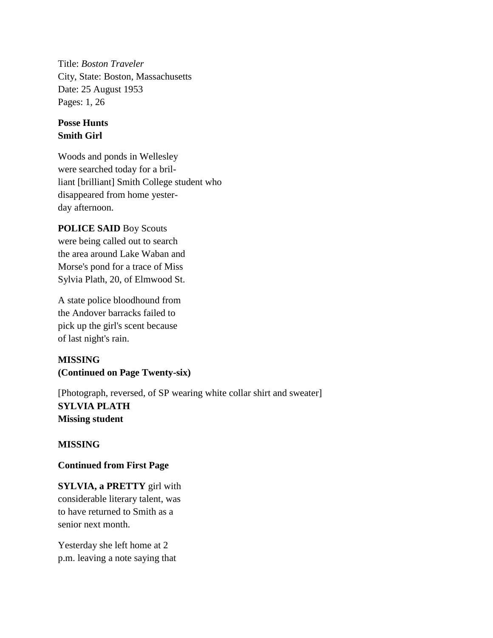Title: *Boston Traveler* City, State: Boston, Massachusetts Date: 25 August 1953 Pages: 1, 26

## **Posse Hunts Smith Girl**

Woods and ponds in Wellesley were searched today for a brilliant [brilliant] Smith College student who disappeared from home yesterday afternoon.

## **POLICE SAID** Boy Scouts

were being called out to search the area around Lake Waban and Morse's pond for a trace of Miss Sylvia Plath, 20, of Elmwood St.

A state police bloodhound from the Andover barracks failed to pick up the girl's scent because of last night's rain.

# **MISSING (Continued on Page Twenty-six)**

[Photograph, reversed, of SP wearing white collar shirt and sweater] **SYLVIA PLATH Missing student**

# **MISSING**

#### **Continued from First Page**

**SYLVIA, a PRETTY** girl with considerable literary talent, was to have returned to Smith as a senior next month.

Yesterday she left home at 2 p.m. leaving a note saying that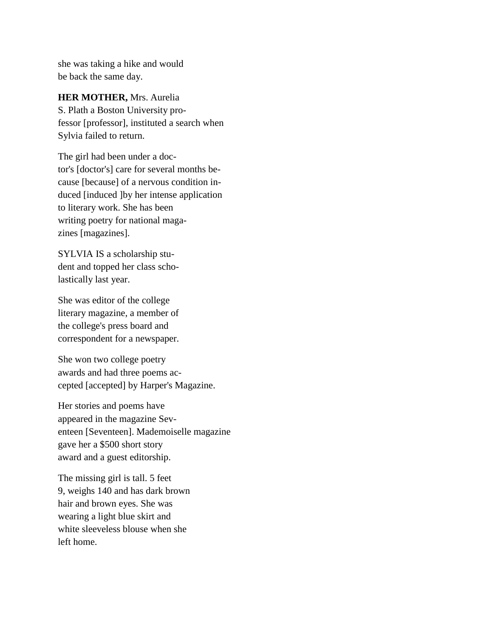she was taking a hike and would be back the same day.

**HER MOTHER,** Mrs. Aurelia S. Plath a Boston University pro-

fessor [professor], instituted a search when Sylvia failed to return.

The girl had been under a doctor's [doctor's] care for several months because [because] of a nervous condition induced [induced ]by her intense application to literary work. She has been writing poetry for national magazines [magazines].

SYLVIA IS a scholarship student and topped her class scholastically last year.

She was editor of the college literary magazine, a member of the college's press board and correspondent for a newspaper.

She won two college poetry awards and had three poems accepted [accepted] by Harper's Magazine.

Her stories and poems have appeared in the magazine Seventeen [Seventeen]. Mademoiselle magazine gave her a \$500 short story award and a guest editorship.

The missing girl is tall. 5 feet 9, weighs 140 and has dark brown hair and brown eyes. She was wearing a light blue skirt and white sleeveless blouse when she left home.